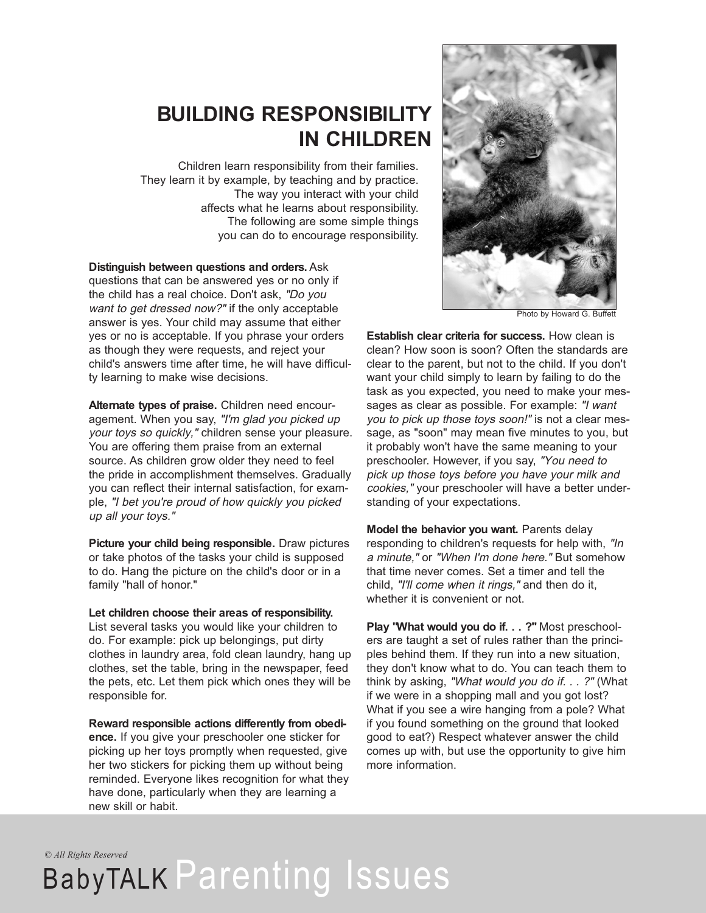### **BUILDING RESPONSIBILITY IN CHILDREN**

Children learn responsibility from their families. They learn it by example, by teaching and by practice. The way you interact with your child affects what he learns about responsibility. The following are some simple things you can do to encourage responsibility.

**Distinguish between questions and orders.** Ask questions that can be answered yes or no only if the child has a real choice. Don't ask, "Do you want to get dressed now?" if the only acceptable answer is yes. Your child may assume that either yes or no is acceptable. If you phrase your orders as though they were requests, and reject your child's answers time after time, he will have difficulty learning to make wise decisions.

**Alternate types of praise.** Children need encouragement. When you say, "I'm glad you picked up your toys so quickly," children sense your pleasure. You are offering them praise from an external source. As children grow older they need to feel the pride in accomplishment themselves. Gradually you can reflect their internal satisfaction, for example, "I bet you're proud of how quickly you picked up all your toys."

**Picture your child being responsible.** Draw pictures or take photos of the tasks your child is supposed to do. Hang the picture on the child's door or in a family "hall of honor."

#### **Let children choose their areas of responsibility.**

List several tasks you would like your children to do. For example: pick up belongings, put dirty clothes in laundry area, fold clean laundry, hang up clothes, set the table, bring in the newspaper, feed the pets, etc. Let them pick which ones they will be responsible for.

**Reward responsible actions differently from obedience.** If you give your preschooler one sticker for picking up her toys promptly when requested, give her two stickers for picking them up without being reminded. Everyone likes recognition for what they have done, particularly when they are learning a new skill or habit.



Photo by Howard G. Buffett

**Establish clear criteria for success.** How clean is clean? How soon is soon? Often the standards are clear to the parent, but not to the child. If you don't want your child simply to learn by failing to do the task as you expected, you need to make your messages as clear as possible. For example: "I want you to pick up those toys soon!" is not a clear message, as "soon" may mean five minutes to you, but it probably won't have the same meaning to your preschooler. However, if you say, "You need to pick up those toys before you have your milk and cookies," your preschooler will have a better understanding of your expectations.

**Model the behavior you want.** Parents delay responding to children's requests for help with, "In <sup>a</sup> minute," or "When I'm done here." But somehow that time never comes. Set a timer and tell the child, "I'll come when it rings," and then do it, whether it is convenient or not.

**Play "What would you do if. . . ?"** Most preschoolers are taught a set of rules rather than the principles behind them. If they run into a new situation, they don't know what to do. You can teach them to think by asking, "What would you do if. . . ?" (What if we were in a shopping mall and you got lost? What if you see a wire hanging from a pole? What if you found something on the ground that looked good to eat?) Respect whatever answer the child comes up with, but use the opportunity to give him more information.

*© All Rights Reserved*

# BabyTALK Parenting Issues